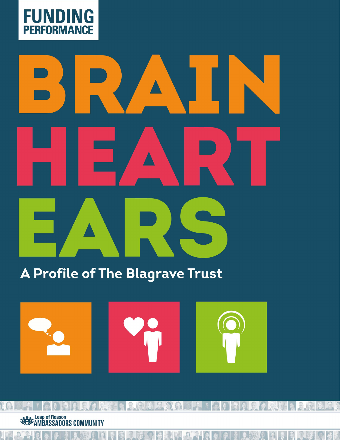

€

# **TITLE GRAPHIC HERE**

A Profile of The Blagrave Trust



日本人与公司工作中的同时中央中央区和日本人的电子 **et CENT** 2000 **Contract Control COMMUNITY**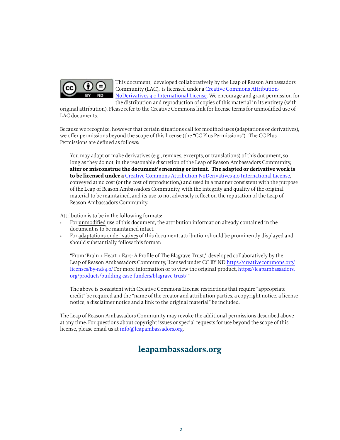

This document, developed collaboratively by the Leap of Reason Ambassadors Community (LAC), is licensed under a [Creative Commons Attribution-](https://creativecommons.org/licenses/by-nd/4.0/)[NoDerivatives 4.0 International License](https://creativecommons.org/licenses/by-nd/4.0/). We encourage and grant permission for the distribution and reproduction of copies of this material in its entirety (with

original attribution). Please refer to the Creative Commons link for license terms for unmodified use of LAC documents.

Because we recognize, however that certain situations call for modified uses (adaptations or derivatives), we offer permissions beyond the scope of this license (the "CC Plus Permissions"). The CC Plus Permissions are defined as follows:

You may adapt or make derivatives (e.g., remixes, excerpts, or translations) of this document, so long as they do not, in the reasonable discretion of the Leap of Reason Ambassadors Community, **alter or misconstrue the document's meaning or intent. The adapted or derivative work is to be licensed under a** [Creative Commons Attribution-NoDerivatives 4.0 International License](https://creativecommons.org/licenses/by-nd/4.0/), conveyed at no cost (or the cost of reproduction,) and used in a manner consistent with the purpose of the Leap of Reason Ambassadors Community, with the integrity and quality of the original material to be maintained, and its use to not adversely reflect on the reputation of the Leap of Reason Ambassadors Community.

Attribution is to be in the following formats:

- For unmodified use of this document, the attribution information already contained in the document is to be maintained intact.
- For adaptations or derivatives of this document, attribution should be prominently displayed and should substantially follow this format:

"From 'Brain + Heart + Ears: A Profile of The Blagrave Trust,' developed collaboratively by the Leap of Reason Ambassadors Community, licensed under CC BY ND [https://creativecommons.org/](https://creativecommons.org/licenses/by-nd/4.0/) [licenses/by-nd/4.0/](https://creativecommons.org/licenses/by-nd/4.0/) For more information or to view the original product, [https://leapambassadors.](https://leapambassadors.org/products/building-case-funders/blagrave-trust/ ) [org/products/building-case-funders/blagrave-trust/](https://leapambassadors.org/products/building-case-funders/blagrave-trust/ ) "

The above is consistent with Creative Commons License restrictions that require "appropriate credit" be required and the "name of the creator and attribution parties, a copyright notice, a license notice, a disclaimer notice and a link to the original material" be included.

The Leap of Reason Ambassadors Community may revoke the additional permissions described above at any time. For questions about copyright issues or special requests for use beyond the scope of this license, please email us at [info@leapambassadors.org](mailto:info%40leapambassadors.org?subject=).

### **leapambassadors.org**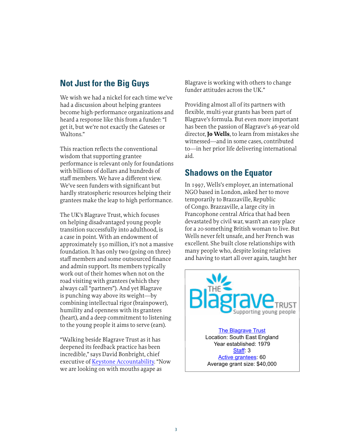### **Not Just for the Big Guys**

We wish we had a nickel for each time we've had a discussion about helping grantees become high-performance organizations and heard a response like this from a funder: "I get it, but we're not exactly the Gateses or Waltons."

This reaction reflects the conventional wisdom that supporting grantee performance is relevant only for foundations with billions of dollars and hundreds of staff members. We have a different view. We've seen funders with significant but hardly stratospheric resources helping their grantees make the leap to high performance.

The UK's Blagrave Trust, which focuses on helping disadvantaged young people transition successfully into adulthood, is a case in point. With an endowment of approximately \$50 million, it's not a massive foundation. It has only two (going on three) staff members and some outsourced finance and admin support. Its members typically work out of their homes when not on the road visiting with grantees (which they always call "partners"). And yet Blagrave is punching way above its weight—by combining intellectual rigor (brainpower), humility and openness with its grantees (heart), and a deep commitment to listening to the young people it aims to serve (ears).

"Walking beside Blagrave Trust as it has deepened its feedback practice has been incredible," says David Bonbright, chief executive of [Keystone Accountability.](http://keystoneaccountability.org/) "Now we are looking on with mouths agape as

Blagrave is working with others to change funder attitudes across the UK."

Providing almost all of its partners with flexible, multi-year grants has been part of Blagrave's formula. But even more important has been the passion of Blagrave's 46-year-old director, **Jo Wells**, to learn from mistakes she witnessed—and in some cases, contributed to—in her prior life delivering international aid.

### **Shadows on the Equator**

In 1997, Wells's employer, an international NGO based in London, asked her to move temporarily to Brazzaville, Republic of Congo. Brazzaville, a large city in Francophone central Africa that had been devastated by civil war, wasn't an easy place for a 20-something British woman to live. But Wells never felt unsafe, and her French was excellent. She built close relationships with many people who, despite losing relatives and having to start all over again, taught her

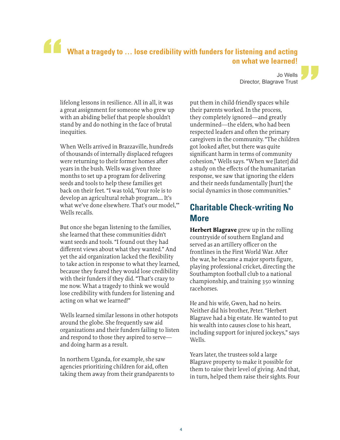# **What a tragedy to … lose credibility with funders for listening and acting on what we learned!**  "<br>"<br>"

lifelong lessons in resilience. All in all, it was a great assignment for someone who grew up with an abiding belief that people shouldn't stand by and do nothing in the face of brutal inequities.

When Wells arrived in Brazzaville, hundreds of thousands of internally displaced refugees were returning to their former homes after years in the bush. Wells was given three months to set up a program for delivering seeds and tools to help these families get back on their feet. "I was told, 'Your role is to develop an agricultural rehab program…. It's what we've done elsewhere. That's our model,'" Wells recalls.

But once she began listening to the families, she learned that these communities didn't want seeds and tools. "I found out they had different views about what they wanted." And yet the aid organization lacked the flexibility to take action in response to what they learned, because they feared they would lose credibility with their funders if they did. "That's crazy to me now. What a tragedy to think we would lose credibility with funders for listening and acting on what we learned!"

Wells learned similar lessons in other hotspots around the globe. She frequently saw aid organizations and their funders failing to listen and respond to those they aspired to serve and doing harm as a result.

In northern Uganda, for example, she saw agencies prioritizing children for aid, often taking them away from their grandparents to

Jo Wells Director, Blagrave Trust "

put them in child-friendly spaces while their parents worked. In the process, they completely ignored—and greatly undermined—the elders, who had been respected leaders and often the primary caregivers in the community. "The children got looked after, but there was quite significant harm in terms of community cohesion," Wells says. "When we [later] did a study on the effects of the humanitarian response, we saw that ignoring the elders and their needs fundamentally [hurt] the social dynamics in those communities."

### **Charitable Check-writing No More**

**Herbert Blagrave** grew up in the rolling countryside of southern England and served as an artillery officer on the frontlines in the First World War. After the war, he became a major sports figure, playing professional cricket, directing the Southampton football club to a national championship, and training 350 winning racehorses.

He and his wife, Gwen, had no heirs. Neither did his brother, Peter. "Herbert Blagrave had a big estate. He wanted to put his wealth into causes close to his heart, including support for injured jockeys," says Wells.

Years later, the trustees sold a large Blagrave property to make it possible for them to raise their level of giving. And that, in turn, helped them raise their sights. Four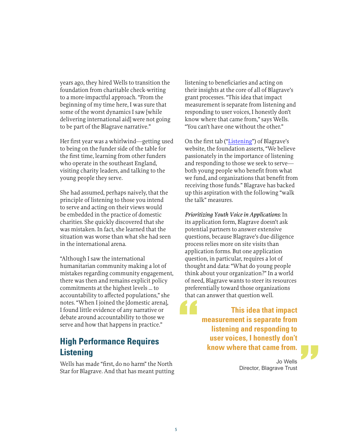years ago, they hired Wells to transition the foundation from charitable check-writing to a more-impactful approach. "From the beginning of my time here, I was sure that some of the worst dynamics I saw [while delivering international aid] were not going to be part of the Blagrave narrative."

Her first year was a whirlwind—getting used to being on the funder side of the table for the first time, learning from other funders who operate in the southeast England, visiting charity leaders, and talking to the young people they serve.

She had assumed, perhaps naively, that the principle of listening to those you intend to serve and acting on their views would be embedded in the practice of domestic charities. She quickly discovered that she was mistaken. In fact, she learned that the situation was worse than what she had seen in the international arena.

"Although I saw the international humanitarian community making a lot of mistakes regarding community engagement, there was then and remains explicit policy commitments at the highest levels … to accountability to affected populations," she notes. "When I joined the [domestic arena], I found little evidence of any narrative or debate around accountability to those we serve and how that happens in practice."

### **High Performance Requires Listening**

Wells has made "first, do no harm" the North Star for Blagrave. And that has meant putting listening to beneficiaries and acting on their insights at the core of all of Blagrave's grant processes. "This idea that impact measurement is separate from listening and responding to user voices, I honestly don't know where that came from," says Wells. "You can't have one without the other."

On the first tab (["Listening](http://www.blagravetrust.org/listening/)") of Blagrave's website, the foundation asserts, "We believe passionately in the importance of listening and responding to those we seek to serve both young people who benefit from what we fund, and organizations that benefit from receiving those funds." Blagrave has backed up this aspiration with the following "walk the talk" measures.

*Prioritizing Youth Voice in Applications*: In its application form, Blagrave doesn't ask potential partners to answer extensive questions, because Blagrave's due-diligence process relies more on site visits than application forms. But one application question, in particular, requires a lot of thought and data: "What do young people think about your organization?" In a world of need, Blagrave wants to steer its resources preferentially toward those organizations that can answer that question well.

> **This idea that impact measurement is separate from listening and responding to user voices, I honestly don't know where that came from.**

> > Jo Wells Director, Blagrave Trust

"

"<br>"<br>"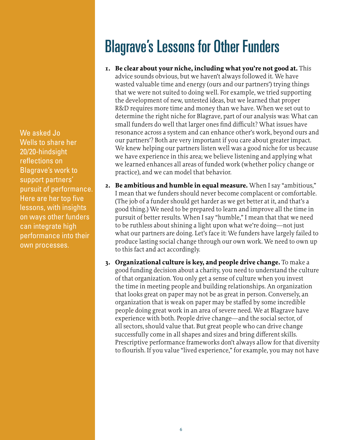We asked Jo Wells to share her 20/20-hindsight reflections on Blagrave's work to support partners' pursuit of performance. Here are her top five lessons, with insights on ways other funders can integrate high performance into their own processes.

## Blagrave's Lessons for Other Funders

- **1. Be clear about your niche, including what you're not good at.** This advice sounds obvious, but we haven't always followed it. We have wasted valuable time and energy (ours and our partners') trying things that we were not suited to doing well. For example, we tried supporting the development of new, untested ideas, but we learned that proper R&D requires more time and money than we have. When we set out to determine the right niche for Blagrave, part of our analysis was: What can small funders do well that larger ones find difficult? What issues have resonance across a system and can enhance other's work, beyond ours and our partners'? Both are very important if you care about greater impact. We knew helping our partners listen well was a good niche for us because we have experience in this area; we believe listening and applying what we learned enhances all areas of funded work (whether policy change or practice), and we can model that behavior.
- **2. Be ambitious and humble in equal measure.** When I say "ambitious," I mean that we funders should never become complacent or comfortable. (The job of a funder should get harder as we get better at it, and that's a good thing.) We need to be prepared to learn and improve all the time in pursuit of better results. When I say "humble," I mean that that we need to be ruthless about shining a light upon what we're doing—not just what our partners are doing. Let's face it: We funders have largely failed to produce lasting social change through our own work. We need to own up to this fact and act accordingly.
- **3. Organizational culture is key, and people drive change.** To make a good funding decision about a charity, you need to understand the culture of that organization. You only get a sense of culture when you invest the time in meeting people and building relationships. An organization that looks great on paper may not be as great in person. Conversely, an organization that is weak on paper may be staffed by some incredible people doing great work in an area of severe need. We at Blagrave have experience with both. People drive change—and the social sector, of all sectors, should value that. But great people who can drive change successfully come in all shapes and sizes and bring different skills. Prescriptive performance frameworks don't always allow for that diversity to flourish. If you value "lived experience," for example, you may not have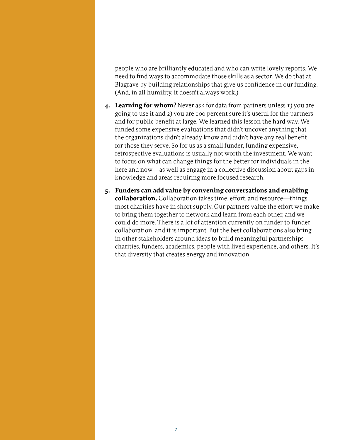people who are brilliantly educated and who can write lovely reports. We need to find ways to accommodate those skills as a sector. We do that at Blagrave by building relationships that give us confidence in our funding. (And, in all humility, it doesn't always work.)

- **4. Learning for whom?** Never ask for data from partners unless 1) you are going to use it and 2) you are 100 percent sure it's useful for the partners and for public benefit at large. We learned this lesson the hard way. We funded some expensive evaluations that didn't uncover anything that the organizations didn't already know and didn't have any real benefit for those they serve. So for us as a small funder, funding expensive, retrospective evaluations is usually not worth the investment. We want to focus on what can change things for the better for individuals in the here and now—as well as engage in a collective discussion about gaps in knowledge and areas requiring more focused research.
- **5. Funders can add value by convening conversations and enabling collaboration.** Collaboration takes time, effort, and resource—things most charities have in short supply. Our partners value the effort we make to bring them together to network and learn from each other, and we could do more. There is a lot of attention currently on funder-to-funder collaboration, and it is important. But the best collaborations also bring in other stakeholders around ideas to build meaningful partnerships charities, funders, academics, people with lived experience, and others. It's that diversity that creates energy and innovation.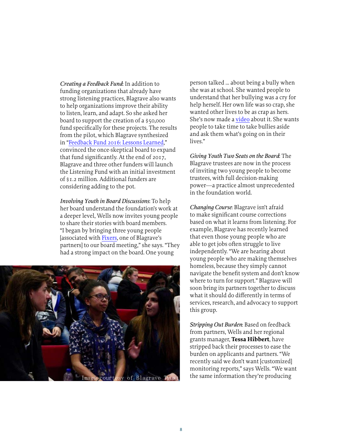*Creating a Feedback Fund*: In addition to funding organizations that already have strong listening practices, Blagrave also wants to help organizations improve their ability to listen, learn, and adapt. So she asked her board to support the creation of a \$50,000 fund specifically for these projects. The results from the pilot, which Blagrave synthesized in "[Feedback Fund 2016: Lessons Learned,](http://www.blagravetrust.org/wp-content/uploads/2017/08/Feedback-Fund-2016-key-lessons.pdf)" convinced the once-skeptical board to expand that fund significantly. At the end of 2017, Blagrave and three other funders will launch the Listening Fund with an initial investment of \$1.2 million. Additional funders are considering adding to the pot.

*Involving Youth in Board Discussions*: To help her board understand the foundation's work at a deeper level, Wells now invites young people to share their stories with board members. "I began by bringing three young people [associated with [Fixers,](http://www.fixers.org.uk/) one of Blagrave's partners] to our board meeting," she says. "They had a strong impact on the board. One young



person talked … about being a bully when she was at school. She wanted people to understand that her bullying was a cry for help herself. Her own life was so crap, she wanted other lives to be as crap as hers. She's now made a [video](http://www.fixers.org.uk/news/15770-11208/bullies-are-victims-too.php) about it. She wants people to take time to take bullies aside and ask them what's going on in their lives."

*Giving Youth Two Seats on the Board*: The Blagrave trustees are now in the process of inviting two young people to become trustees, with full decision-making power—a practice almost unprecedented in the foundation world.

*Changing Course*: Blagrave isn't afraid to make significant course corrections based on what it learns from listening. For example, Blagrave has recently learned that even those young people who are able to get jobs often struggle to live independently. "We are hearing about young people who are making themselves homeless, because they simply cannot navigate the benefit system and don't know where to turn for support." Blagrave will soon bring its partners together to discuss what it should do differently in terms of services, research, and advocacy to support this group.

*Stripping Out Burden*: Based on feedback from partners, Wells and her regional grants manager, **Tessa Hibbert**, have stripped back their processes to ease the burden on applicants and partners. "We recently said we don't want [customized] monitoring reports," says Wells. "We want the same information they're producing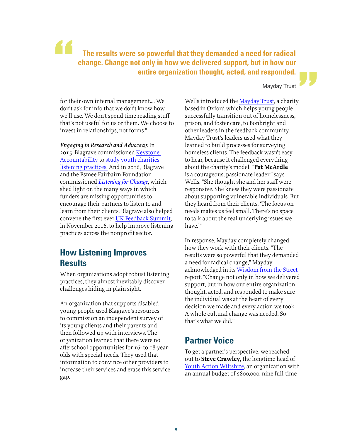**The results were so powerful that they demanded a need for radical change. Change not only in how we delivered support, but in how our entire organization thought, acted, and responded.** "

Mayday Trust

"

for their own internal management…. We don't ask for info that we don't know how we'll use. We don't spend time reading stuff that's not useful for us or them. We choose to invest in relationships, not forms."

*Engaging in Research and Advocacy*: In 2015, Blagrave commissioned [Keystone](http://keystoneaccountability.org/)  [Accountability](http://keystoneaccountability.org/) to [study youth charities'](http://www.blagravetrust.org/listeningtoyoungpeople/)  [listening practices.](http://www.blagravetrust.org/listeningtoyoungpeople/) And in 2016, Blagrave and the Esmee Fairbairn Foundation commissioned *[Listening for Change](http://www.blagravetrust.org/wp-content/uploads/2016/12/Listening-for-Change-Full-Report-and-annexes.pdf)*, which shed light on the many ways in which funders are missing opportunities to encourage their partners to listen to and learn from their clients. Blagrave also helped convene the first ever [UK Feedback Summit](http://www.blagravetrust.org/closing-feedback-loop/), in November 2016, to help improve listening practices across the nonprofit sector.

### **How Listening Improves Results**

When organizations adopt robust listening practices, they almost inevitably discover challenges hiding in plain sight.

An organization that supports disabled young people used Blagrave's resources to commission an independent survey of its young clients and their parents and then followed up with interviews. The organization learned that there were no afterschool opportunities for 16- to 18-yearolds with special needs. They used that information to convince other providers to increase their services and erase this service gap.

Wells introduced the [Mayday Trust,](https://www.maydaytrust.org.uk/) a charity based in Oxford which helps young people successfully transition out of homelessness, prison, and foster care, to Bonbright and other leaders in the feedback community. Mayday Trust's leaders used what they learned to build processes for surveying homeless clients. The feedback wasn't easy to hear, because it challenged everything about the charity's model. "**Pat McArdle** is a courageous, passionate leader," says Wells. "She thought she and her staff were responsive. She knew they were passionate about supporting vulnerable individuals. But they heard from their clients, 'The focus on needs makes us feel small. There's no space to talk about the real underlying issues we have.'"

In response, Mayday completely changed how they work with their clients. "The results were so powerful that they demanded a need for radical change," Mayday acknowledged in its [Wisdom from the Street](https://www.maydaytrust.org.uk/wisdom-from-the-street)  report. "Change not only in how we delivered support, but in how our entire organization thought, acted, and responded to make sure the individual was at the heart of every decision we made and every action we took. A whole cultural change was needed. So that's what we did."

### **Partner Voice**

To get a partner's perspective, we reached out to **Steve Crawley**, the longtime head of [Youth Action Wiltshire,](http://www.youthactionwiltshire.org/) an organization with an annual budget of \$800,000, nine full-time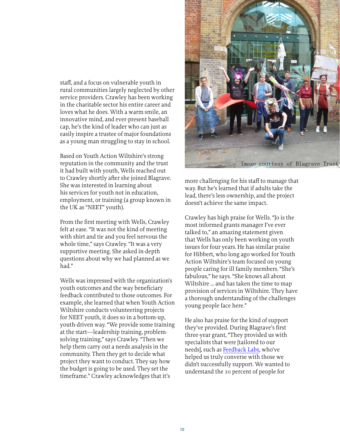staff, and a focus on vulnerable youth in rural communities largely neglected by other service providers. Crawley has been working in the charitable sector his entire career and loves what he does. With a warm smile, an innovative mind, and ever-present baseball cap, he's the kind of leader who can just as easily inspire a trustee of major foundations as a young man struggling to stay in school.

Based on Youth Action Wiltshire's strong reputation in the community and the trust it had built with youth, Wells reached out to Crawley shortly after she joined Blagrave. She was interested in learning about his services for youth not in education, employment, or training (a group known in the UK as "NEET" youth).

From the first meeting with Wells, Crawley felt at ease. "It was not the kind of meeting with shirt and tie and you feel nervous the whole time," says Crawley. "It was a very supportive meeting. She asked in-depth questions about why we had planned as we had."

Wells was impressed with the organization's youth outcomes and the way beneficiary feedback contributed to those outcomes. For example, she learned that when Youth Action Wiltshire conducts volunteering projects for NEET youth, it does so in a bottom-up, youth-driven way. "We provide some training at the start—leadership training, problemsolving training," says Crawley. "Then we help them carry out a needs analysis in the community. Then they get to decide what project they want to conduct. They say how the budget is going to be used. They set the timeframe." Crawley acknowledges that it's



more challenging for his staff to manage that way. But he's learned that if adults take the lead, there's less ownership, and the project doesn't achieve the same impact.

Crawley has high praise for Wells. "Jo is the most informed grants manager I've ever talked to," an amazing statement given that Wells has only been working on youth issues for four years. He has similar praise for Hibbert, who long ago worked for Youth Action Wiltshire's team focused on young people caring for ill family members. "She's fabulous," he says. "She knows all about Wiltshire … and has taken the time to map provision of services in Wiltshire. They have a thorough understanding of the challenges young people face here."

He also has praise for the kind of support they've provided. During Blagrave's first three-year grant, "They provided us with specialists that were [tailored to our needs], such as [Feedback Labs,](http://feedbacklabs.org/) who've helped us truly converse with those we didn't successfully support. We wanted to understand the 10 percent of people for